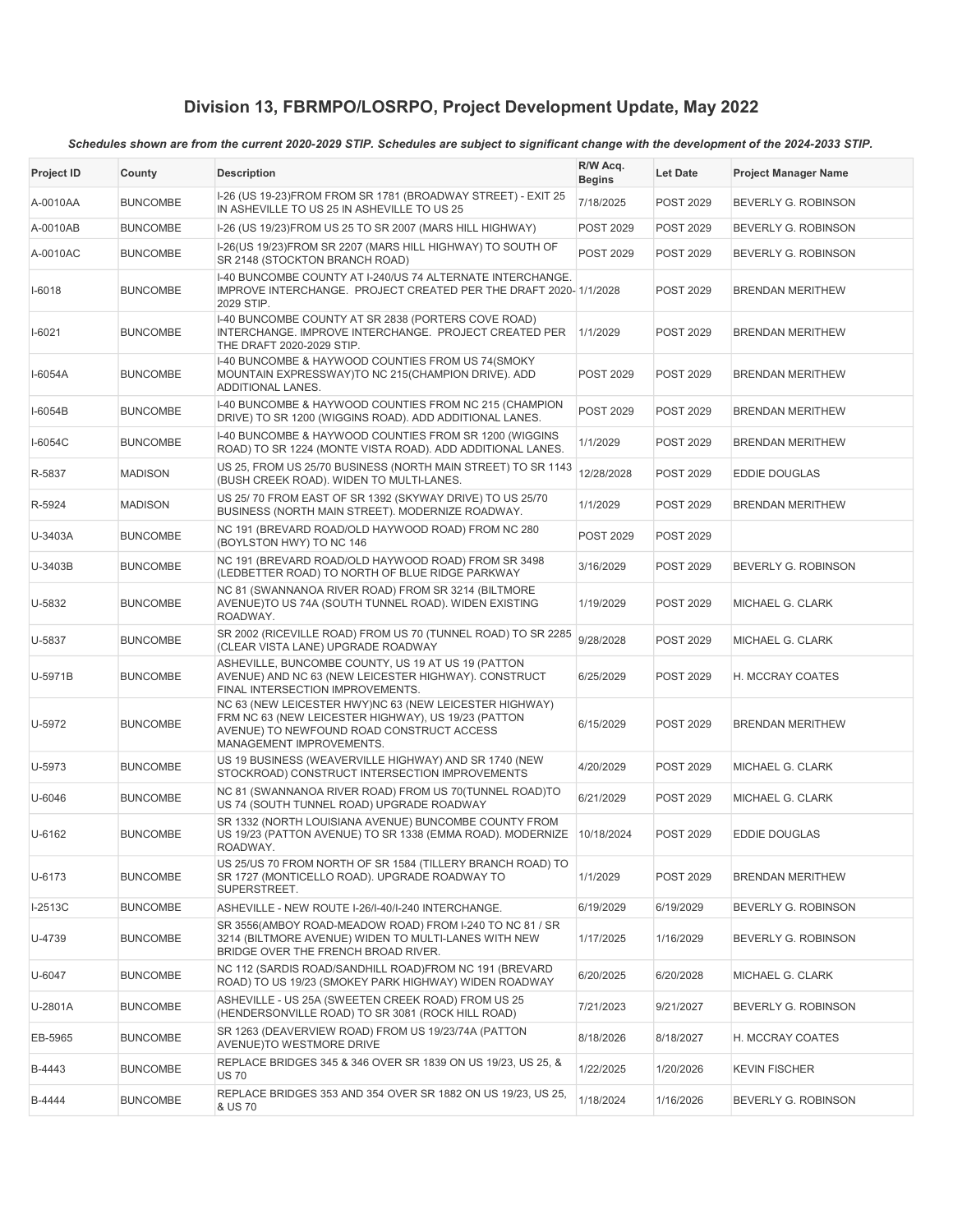| <b>Project ID</b> | County          | <b>Description</b>                                                                                                                                                                     | R/W Acq.<br><b>Begins</b> | Let Date         | <b>Project Manager Name</b> |
|-------------------|-----------------|----------------------------------------------------------------------------------------------------------------------------------------------------------------------------------------|---------------------------|------------------|-----------------------------|
| A-0010AA          | <b>BUNCOMBE</b> | I-26 (US 19-23)FROM FROM SR 1781 (BROADWAY STREET) - EXIT 25<br>IN ASHEVILLE TO US 25 IN ASHEVILLE TO US 25                                                                            | 7/18/2025                 | <b>POST 2029</b> | BEVERLY G. ROBINSON         |
| A-0010AB          | <b>BUNCOMBE</b> | I-26 (US 19/23) FROM US 25 TO SR 2007 (MARS HILL HIGHWAY)                                                                                                                              | <b>POST 2029</b>          | <b>POST 2029</b> | BEVERLY G. ROBINSON         |
| A-0010AC          | <b>BUNCOMBE</b> | I-26(US 19/23) FROM SR 2207 (MARS HILL HIGHWAY) TO SOUTH OF<br>SR 2148 (STOCKTON BRANCH ROAD)                                                                                          | <b>POST 2029</b>          | POST 2029        | BEVERLY G. ROBINSON         |
| $I-6018$          | <b>BUNCOMBE</b> | I-40 BUNCOMBE COUNTY AT I-240/US 74 ALTERNATE INTERCHANGE.<br>IMPROVE INTERCHANGE. PROJECT CREATED PER THE DRAFT 2020-1/1/2028<br>2029 STIP.                                           |                           | POST 2029        | <b>BRENDAN MERITHEW</b>     |
| $I-6021$          | <b>BUNCOMBE</b> | I-40 BUNCOMBE COUNTY AT SR 2838 (PORTERS COVE ROAD)<br>INTERCHANGE. IMPROVE INTERCHANGE. PROJECT CREATED PER<br>THE DRAFT 2020-2029 STIP.                                              | 1/1/2029                  | POST 2029        | <b>BRENDAN MERITHEW</b>     |
| I-6054A           | <b>BUNCOMBE</b> | I-40 BUNCOMBE & HAYWOOD COUNTIES FROM US 74(SMOKY<br>MOUNTAIN EXPRESSWAY)TO NC 215(CHAMPION DRIVE). ADD<br>ADDITIONAL LANES.                                                           | <b>POST 2029</b>          | <b>POST 2029</b> | <b>BRENDAN MERITHEW</b>     |
| I-6054B           | <b>BUNCOMBE</b> | I-40 BUNCOMBE & HAYWOOD COUNTIES FROM NC 215 (CHAMPION<br>DRIVE) TO SR 1200 (WIGGINS ROAD). ADD ADDITIONAL LANES.                                                                      | POST 2029                 | <b>POST 2029</b> | <b>BRENDAN MERITHEW</b>     |
| I-6054C           | <b>BUNCOMBE</b> | I-40 BUNCOMBE & HAYWOOD COUNTIES FROM SR 1200 (WIGGINS<br>ROAD) TO SR 1224 (MONTE VISTA ROAD). ADD ADDITIONAL LANES.                                                                   | 1/1/2029                  | POST 2029        | <b>BRENDAN MERITHEW</b>     |
| R-5837            | <b>MADISON</b>  | US 25, FROM US 25/70 BUSINESS (NORTH MAIN STREET) TO SR 1143<br>(BUSH CREEK ROAD). WIDEN TO MULTI-LANES.                                                                               | 12/28/2028                | POST 2029        | <b>EDDIE DOUGLAS</b>        |
| R-5924            | <b>MADISON</b>  | US 25/70 FROM EAST OF SR 1392 (SKYWAY DRIVE) TO US 25/70<br>BUSINESS (NORTH MAIN STREET). MODERNIZE ROADWAY.                                                                           | 1/1/2029                  | POST 2029        | <b>BRENDAN MERITHEW</b>     |
| U-3403A           | <b>BUNCOMBE</b> | NC 191 (BREVARD ROAD/OLD HAYWOOD ROAD) FROM NC 280<br>(BOYLSTON HWY) TO NC 146                                                                                                         | <b>POST 2029</b>          | POST 2029        |                             |
| U-3403B           | <b>BUNCOMBE</b> | NC 191 (BREVARD ROAD/OLD HAYWOOD ROAD) FROM SR 3498<br>(LEDBETTER ROAD) TO NORTH OF BLUE RIDGE PARKWAY                                                                                 | 3/16/2029                 | POST 2029        | BEVERLY G. ROBINSON         |
| U-5832            | <b>BUNCOMBE</b> | NC 81 (SWANNANOA RIVER ROAD) FROM SR 3214 (BILTMORE<br>AVENUE)TO US 74A (SOUTH TUNNEL ROAD). WIDEN EXISTING<br>ROADWAY.                                                                | 1/19/2029                 | POST 2029        | MICHAEL G. CLARK            |
| U-5837            | <b>BUNCOMBE</b> | SR 2002 (RICEVILLE ROAD) FROM US 70 (TUNNEL ROAD) TO SR 2285<br>(CLEAR VISTA LANE) UPGRADE ROADWAY                                                                                     | 9/28/2028                 | POST 2029        | MICHAEL G. CLARK            |
| U-5971B           | <b>BUNCOMBE</b> | ASHEVILLE, BUNCOMBE COUNTY, US 19 AT US 19 (PATTON<br>AVENUE) AND NC 63 (NEW LEICESTER HIGHWAY). CONSTRUCT<br>FINAL INTERSECTION IMPROVEMENTS.                                         | 6/25/2029                 | POST 2029        | H. MCCRAY COATES            |
| U-5972            | <b>BUNCOMBE</b> | NC 63 (NEW LEICESTER HWY)NC 63 (NEW LEICESTER HIGHWAY)<br>FRM NC 63 (NEW LEICESTER HIGHWAY), US 19/23 (PATTON<br>AVENUE) TO NEWFOUND ROAD CONSTRUCT ACCESS<br>MANAGEMENT IMPROVEMENTS. | 6/15/2029                 | POST 2029        | <b>BRENDAN MERITHEW</b>     |
| U-5973            | <b>BUNCOMBE</b> | US 19 BUSINESS (WEAVERVILLE HIGHWAY) AND SR 1740 (NEW<br>STOCKROAD) CONSTRUCT INTERSECTION IMPROVEMENTS                                                                                | 4/20/2029                 | POST 2029        | MICHAEL G. CLARK            |
| U-6046            | <b>BUNCOMBE</b> | NC 81 (SWANNANOA RIVER ROAD) FROM US 70 (TUNNEL ROAD)TO<br>US 74 (SOUTH TUNNEL ROAD) UPGRADE ROADWAY                                                                                   | 6/21/2029                 | POST 2029        | MICHAEL G. CLARK            |
| U-6162            | <b>BUNCOMBE</b> | SR 1332 (NORTH LOUISIANA AVENUE) BUNCOMBE COUNTY FROM<br>US 19/23 (PATTON AVENUE) TO SR 1338 (EMMA ROAD). MODERNIZE<br>ROADWAY.                                                        | 10/18/2024                | POST 2029        | <b>EDDIE DOUGLAS</b>        |
| U-6173            | <b>BUNCOMBE</b> | US 25/US 70 FROM NORTH OF SR 1584 (TILLERY BRANCH ROAD) TO<br>SR 1727 (MONTICELLO ROAD). UPGRADE ROADWAY TO<br>SUPERSTREET.                                                            | 1/1/2029                  | POST 2029        | <b>BRENDAN MERITHEW</b>     |
| I-2513C           | <b>BUNCOMBE</b> | ASHEVILLE - NEW ROUTE I-26/I-40/I-240 INTERCHANGE.                                                                                                                                     | 6/19/2029                 | 6/19/2029        | BEVERLY G. ROBINSON         |
| U-4739            | <b>BUNCOMBE</b> | SR 3556(AMBOY ROAD-MEADOW ROAD) FROM I-240 TO NC 81 / SR<br>3214 (BILTMORE AVENUE) WIDEN TO MULTI-LANES WITH NEW<br>BRIDGE OVER THE FRENCH BROAD RIVER.                                | 1/17/2025                 | 1/16/2029        | BEVERLY G. ROBINSON         |
| U-6047            | <b>BUNCOMBE</b> | NC 112 (SARDIS ROAD/SANDHILL ROAD)FROM NC 191 (BREVARD<br>ROAD) TO US 19/23 (SMOKEY PARK HIGHWAY) WIDEN ROADWAY                                                                        | 6/20/2025                 | 6/20/2028        | MICHAEL G. CLARK            |
| U-2801A           | <b>BUNCOMBE</b> | ASHEVILLE - US 25A (SWEETEN CREEK ROAD) FROM US 25<br>(HENDERSONVILLE ROAD) TO SR 3081 (ROCK HILL ROAD)                                                                                | 7/21/2023                 | 9/21/2027        | BEVERLY G. ROBINSON         |
| EB-5965           | <b>BUNCOMBE</b> | SR 1263 (DEAVERVIEW ROAD) FROM US 19/23/74A (PATTON<br>AVENUE)TO WESTMORE DRIVE                                                                                                        | 8/18/2026                 | 8/18/2027        | H. MCCRAY COATES            |
| B-4443            | <b>BUNCOMBE</b> | REPLACE BRIDGES 345 & 346 OVER SR 1839 ON US 19/23, US 25, &<br><b>US 70</b>                                                                                                           | 1/22/2025                 | 1/20/2026        | KEVIN FISCHER               |
| B-4444            | <b>BUNCOMBE</b> | REPLACE BRIDGES 353 AND 354 OVER SR 1882 ON US 19/23, US 25,<br>& US 70                                                                                                                | 1/18/2024                 | 1/16/2026        | BEVERLY G. ROBINSON         |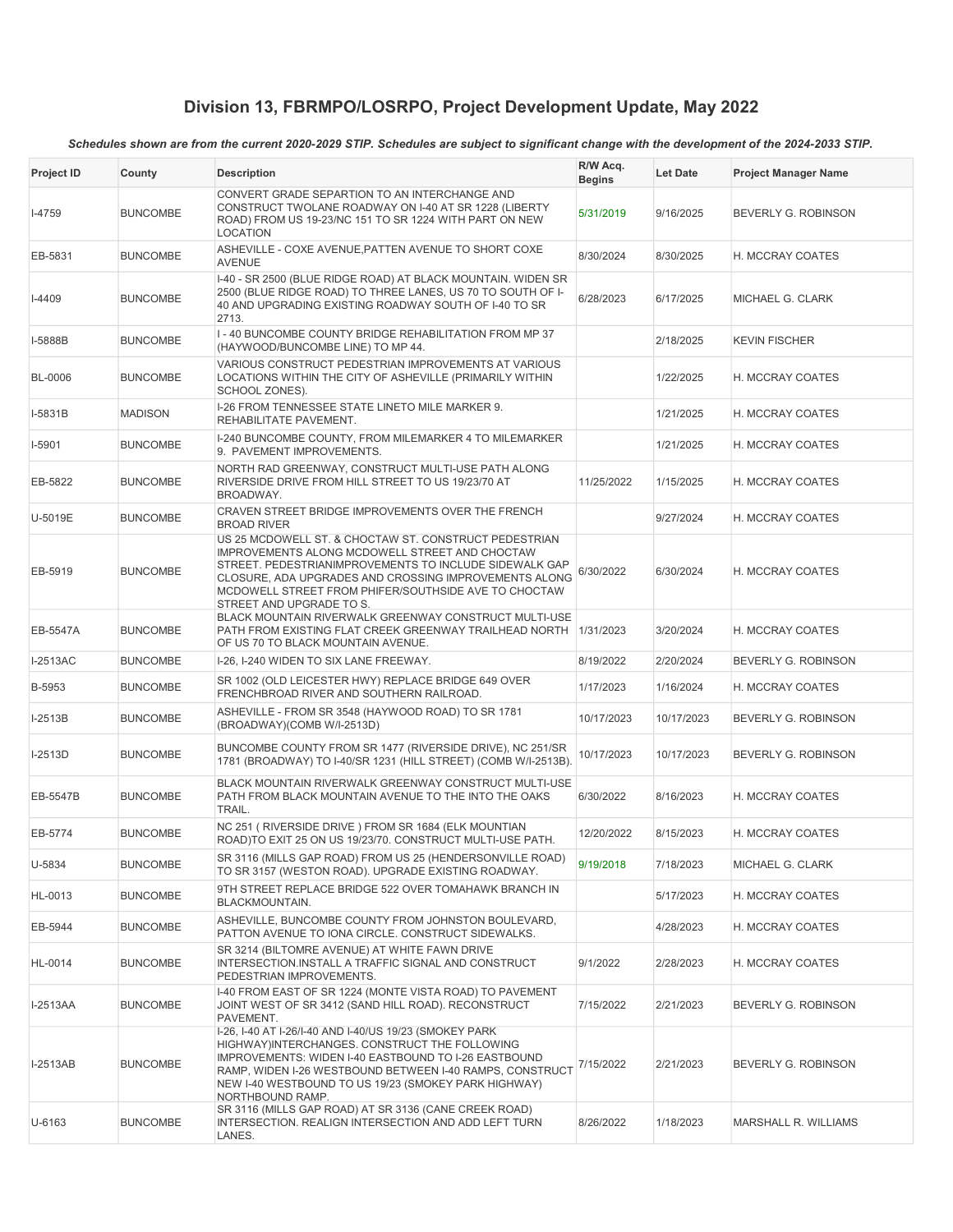| Project ID      | County          | <b>Description</b>                                                                                                                                                                                                                                                                                             | R/W Acq.<br><b>Begins</b> | <b>Let Date</b> | <b>Project Manager Name</b> |
|-----------------|-----------------|----------------------------------------------------------------------------------------------------------------------------------------------------------------------------------------------------------------------------------------------------------------------------------------------------------------|---------------------------|-----------------|-----------------------------|
| $I-4759$        | <b>BUNCOMBE</b> | CONVERT GRADE SEPARTION TO AN INTERCHANGE AND<br>CONSTRUCT TWOLANE ROADWAY ON I-40 AT SR 1228 (LIBERTY<br>ROAD) FROM US 19-23/NC 151 TO SR 1224 WITH PART ON NEW<br><b>LOCATION</b>                                                                                                                            | 5/31/2019                 | 9/16/2025       | BEVERLY G. ROBINSON         |
| EB-5831         | <b>BUNCOMBE</b> | ASHEVILLE - COXE AVENUE, PATTEN AVENUE TO SHORT COXE<br><b>AVENUE</b>                                                                                                                                                                                                                                          | 8/30/2024                 | 8/30/2025       | H. MCCRAY COATES            |
| $I-4409$        | <b>BUNCOMBE</b> | I-40 - SR 2500 (BLUE RIDGE ROAD) AT BLACK MOUNTAIN. WIDEN SR<br>2500 (BLUE RIDGE ROAD) TO THREE LANES, US 70 TO SOUTH OF I-<br>40 AND UPGRADING EXISTING ROADWAY SOUTH OF I-40 TO SR<br>2713.                                                                                                                  | 6/28/2023                 | 6/17/2025       | MICHAEL G. CLARK            |
| I-5888B         | <b>BUNCOMBE</b> | I-40 BUNCOMBE COUNTY BRIDGE REHABILITATION FROM MP 37<br>(HAYWOOD/BUNCOMBE LINE) TO MP 44.                                                                                                                                                                                                                     |                           | 2/18/2025       | <b>KEVIN FISCHER</b>        |
| <b>BL-0006</b>  | <b>BUNCOMBE</b> | VARIOUS CONSTRUCT PEDESTRIAN IMPROVEMENTS AT VARIOUS<br>LOCATIONS WITHIN THE CITY OF ASHEVILLE (PRIMARILY WITHIN<br>SCHOOL ZONES).                                                                                                                                                                             |                           | 1/22/2025       | H. MCCRAY COATES            |
| I-5831B         | <b>MADISON</b>  | I-26 FROM TENNESSEE STATE LINETO MILE MARKER 9.<br>REHABILITATE PAVEMENT.                                                                                                                                                                                                                                      |                           | 1/21/2025       | H. MCCRAY COATES            |
| I-5901          | <b>BUNCOMBE</b> | I-240 BUNCOMBE COUNTY, FROM MILEMARKER 4 TO MILEMARKER<br>9. PAVEMENT IMPROVEMENTS.                                                                                                                                                                                                                            |                           | 1/21/2025       | H. MCCRAY COATES            |
| EB-5822         | <b>BUNCOMBE</b> | NORTH RAD GREENWAY, CONSTRUCT MULTI-USE PATH ALONG<br>RIVERSIDE DRIVE FROM HILL STREET TO US 19/23/70 AT<br>BROADWAY.                                                                                                                                                                                          | 11/25/2022                | 1/15/2025       | H. MCCRAY COATES            |
| U-5019E         | <b>BUNCOMBE</b> | CRAVEN STREET BRIDGE IMPROVEMENTS OVER THE FRENCH<br><b>BROAD RIVER</b>                                                                                                                                                                                                                                        |                           | 9/27/2024       | H. MCCRAY COATES            |
| EB-5919         | <b>BUNCOMBE</b> | US 25 MCDOWELL ST. & CHOCTAW ST. CONSTRUCT PEDESTRIAN<br>IMPROVEMENTS ALONG MCDOWELL STREET AND CHOCTAW<br>STREET. PEDESTRIANIMPROVEMENTS TO INCLUDE SIDEWALK GAP<br>CLOSURE, ADA UPGRADES AND CROSSING IMPROVEMENTS ALONG<br>MCDOWELL STREET FROM PHIFER/SOUTHSIDE AVE TO CHOCTAW<br>STREET AND UPGRADE TO S. | 6/30/2022                 | 6/30/2024       | H. MCCRAY COATES            |
| EB-5547A        | <b>BUNCOMBE</b> | BLACK MOUNTAIN RIVERWALK GREENWAY CONSTRUCT MULTI-USE<br>PATH FROM EXISTING FLAT CREEK GREENWAY TRAILHEAD NORTH<br>OF US 70 TO BLACK MOUNTAIN AVENUE.                                                                                                                                                          | 1/31/2023                 | 3/20/2024       | H. MCCRAY COATES            |
| I-2513AC        | <b>BUNCOMBE</b> | I-26, I-240 WIDEN TO SIX LANE FREEWAY.                                                                                                                                                                                                                                                                         | 8/19/2022                 | 2/20/2024       | BEVERLY G. ROBINSON         |
| B-5953          | <b>BUNCOMBE</b> | SR 1002 (OLD LEICESTER HWY) REPLACE BRIDGE 649 OVER<br>FRENCHBROAD RIVER AND SOUTHERN RAILROAD.                                                                                                                                                                                                                | 1/17/2023                 | 1/16/2024       | H. MCCRAY COATES            |
| I-2513B         | <b>BUNCOMBE</b> | ASHEVILLE - FROM SR 3548 (HAYWOOD ROAD) TO SR 1781<br>(BROADWAY)(COMB W/I-2513D)                                                                                                                                                                                                                               | 10/17/2023                | 10/17/2023      | BEVERLY G. ROBINSON         |
| $I-2513D$       | <b>BUNCOMBE</b> | BUNCOMBE COUNTY FROM SR 1477 (RIVERSIDE DRIVE), NC 251/SR<br>1781 (BROADWAY) TO I-40/SR 1231 (HILL STREET) (COMB W/I-2513B).                                                                                                                                                                                   | 10/17/2023                | 10/17/2023      | BEVERLY G. ROBINSON         |
| EB-5547B        | <b>BUNCOMBE</b> | BLACK MOUNTAIN RIVERWALK GREENWAY CONSTRUCT MULTI-USE<br>PATH FROM BLACK MOUNTAIN AVENUE TO THE INTO THE OAKS<br>TRAIL.                                                                                                                                                                                        | 6/30/2022                 | 8/16/2023       | H. MCCRAY COATES            |
| EB-5774         | <b>BUNCOMBE</b> | NC 251 (RIVERSIDE DRIVE) FROM SR 1684 (ELK MOUNTIAN<br>ROAD)TO EXIT 25 ON US 19/23/70. CONSTRUCT MULTI-USE PATH.                                                                                                                                                                                               | 12/20/2022                | 8/15/2023       | H. MCCRAY COATES            |
| U-5834          | <b>BUNCOMBE</b> | SR 3116 (MILLS GAP ROAD) FROM US 25 (HENDERSONVILLE ROAD)<br>TO SR 3157 (WESTON ROAD). UPGRADE EXISTING ROADWAY.                                                                                                                                                                                               | 9/19/2018                 | 7/18/2023       | MICHAEL G. CLARK            |
| HL-0013         | <b>BUNCOMBE</b> | 9TH STREET REPLACE BRIDGE 522 OVER TOMAHAWK BRANCH IN<br>BLACKMOUNTAIN.                                                                                                                                                                                                                                        |                           | 5/17/2023       | H. MCCRAY COATES            |
| EB-5944         | BUNCOMBE        | ASHEVILLE, BUNCOMBE COUNTY FROM JOHNSTON BOULEVARD,<br>PATTON AVENUE TO IONA CIRCLE. CONSTRUCT SIDEWALKS.                                                                                                                                                                                                      |                           | 4/28/2023       | H. MCCRAY COATES            |
| HL-0014         | <b>BUNCOMBE</b> | SR 3214 (BILTOMRE AVENUE) AT WHITE FAWN DRIVE<br>INTERSECTION.INSTALL A TRAFFIC SIGNAL AND CONSTRUCT<br>PEDESTRIAN IMPROVEMENTS.                                                                                                                                                                               | 9/1/2022                  | 2/28/2023       | H. MCCRAY COATES            |
| I-2513AA        | <b>BUNCOMBE</b> | I-40 FROM EAST OF SR 1224 (MONTE VISTA ROAD) TO PAVEMENT<br>JOINT WEST OF SR 3412 (SAND HILL ROAD). RECONSTRUCT<br>PAVEMENT.                                                                                                                                                                                   | 7/15/2022                 | 2/21/2023       | BEVERLY G. ROBINSON         |
| <b>I-2513AB</b> | <b>BUNCOMBE</b> | I-26, I-40 AT I-26/I-40 AND I-40/US 19/23 (SMOKEY PARK)<br>HIGHWAY)INTERCHANGES. CONSTRUCT THE FOLLOWING<br>IMPROVEMENTS: WIDEN I-40 EASTBOUND TO I-26 EASTBOUND<br>RAMP, WIDEN I-26 WESTBOUND BETWEEN I-40 RAMPS, CONSTRUCT<br>NEW I-40 WESTBOUND TO US 19/23 (SMOKEY PARK HIGHWAY)<br>NORTHBOUND RAMP.       | 7/15/2022                 | 2/21/2023       | BEVERLY G. ROBINSON         |
| U-6163          | <b>BUNCOMBE</b> | SR 3116 (MILLS GAP ROAD) AT SR 3136 (CANE CREEK ROAD)<br>INTERSECTION. REALIGN INTERSECTION AND ADD LEFT TURN<br>LANES.                                                                                                                                                                                        | 8/26/2022                 | 1/18/2023       | MARSHALL R. WILLIAMS        |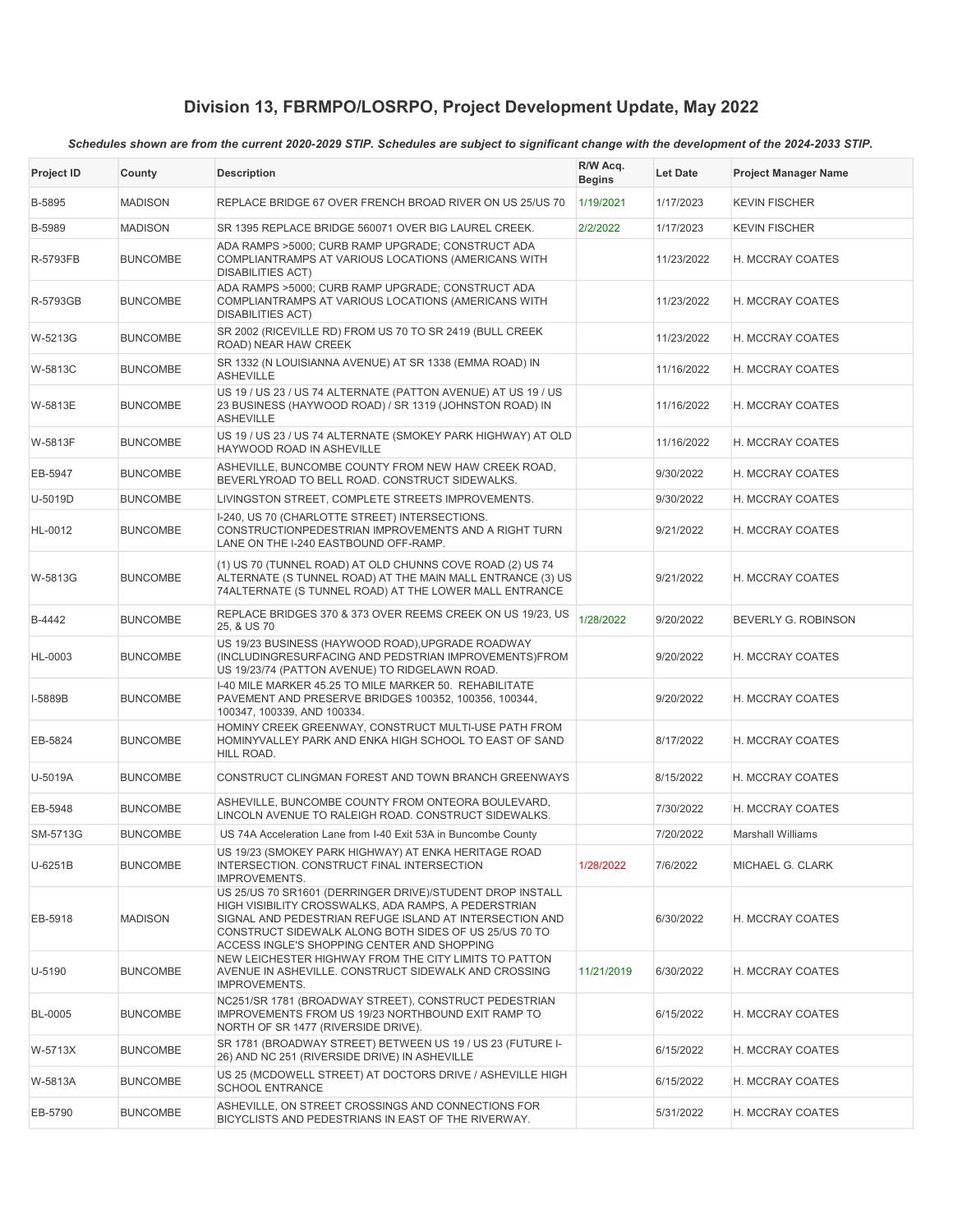| <b>Project ID</b> | County          | <b>Description</b>                                                                                                                                                                                                                                                                   | R/W Acq.<br><b>Begins</b> | <b>Let Date</b> | <b>Project Manager Name</b> |
|-------------------|-----------------|--------------------------------------------------------------------------------------------------------------------------------------------------------------------------------------------------------------------------------------------------------------------------------------|---------------------------|-----------------|-----------------------------|
| B-5895            | <b>MADISON</b>  | REPLACE BRIDGE 67 OVER FRENCH BROAD RIVER ON US 25/US 70                                                                                                                                                                                                                             | 1/19/2021                 | 1/17/2023       | <b>KEVIN FISCHER</b>        |
| B-5989            | <b>MADISON</b>  | SR 1395 REPLACE BRIDGE 560071 OVER BIG LAUREL CREEK.                                                                                                                                                                                                                                 | 2/2/2022                  | 1/17/2023       | <b>KEVIN FISCHER</b>        |
| R-5793FB          | <b>BUNCOMBE</b> | ADA RAMPS >5000; CURB RAMP UPGRADE; CONSTRUCT ADA<br>COMPLIANTRAMPS AT VARIOUS LOCATIONS (AMERICANS WITH<br><b>DISABILITIES ACT)</b>                                                                                                                                                 |                           | 11/23/2022      | H. MCCRAY COATES            |
| R-5793GB          | <b>BUNCOMBE</b> | ADA RAMPS >5000; CURB RAMP UPGRADE; CONSTRUCT ADA<br>COMPLIANTRAMPS AT VARIOUS LOCATIONS (AMERICANS WITH<br><b>DISABILITIES ACT)</b>                                                                                                                                                 |                           | 11/23/2022      | H. MCCRAY COATES            |
| W-5213G           | <b>BUNCOMBE</b> | SR 2002 (RICEVILLE RD) FROM US 70 TO SR 2419 (BULL CREEK<br>ROAD) NEAR HAW CREEK                                                                                                                                                                                                     |                           | 11/23/2022      | H. MCCRAY COATES            |
| W-5813C           | <b>BUNCOMBE</b> | SR 1332 (N LOUISIANNA AVENUE) AT SR 1338 (EMMA ROAD) IN<br><b>ASHEVILLE</b>                                                                                                                                                                                                          |                           | 11/16/2022      | H. MCCRAY COATES            |
| W-5813E           | <b>BUNCOMBE</b> | US 19 / US 23 / US 74 ALTERNATE (PATTON AVENUE) AT US 19 / US<br>23 BUSINESS (HAYWOOD ROAD) / SR 1319 (JOHNSTON ROAD) IN<br><b>ASHEVILLE</b>                                                                                                                                         |                           | 11/16/2022      | H. MCCRAY COATES            |
| W-5813F           | <b>BUNCOMBE</b> | US 19 / US 23 / US 74 ALTERNATE (SMOKEY PARK HIGHWAY) AT OLD<br>HAYWOOD ROAD IN ASHEVILLE                                                                                                                                                                                            |                           | 11/16/2022      | H. MCCRAY COATES            |
| EB-5947           | <b>BUNCOMBE</b> | ASHEVILLE, BUNCOMBE COUNTY FROM NEW HAW CREEK ROAD,<br>BEVERLYROAD TO BELL ROAD. CONSTRUCT SIDEWALKS.                                                                                                                                                                                |                           | 9/30/2022       | H. MCCRAY COATES            |
| U-5019D           | <b>BUNCOMBE</b> | LIVINGSTON STREET, COMPLETE STREETS IMPROVEMENTS.                                                                                                                                                                                                                                    |                           | 9/30/2022       | H. MCCRAY COATES            |
| HL-0012           | <b>BUNCOMBE</b> | I-240, US 70 (CHARLOTTE STREET) INTERSECTIONS.<br>CONSTRUCTIONPEDESTRIAN IMPROVEMENTS AND A RIGHT TURN<br>LANE ON THE I-240 EASTBOUND OFF-RAMP.                                                                                                                                      |                           | 9/21/2022       | H. MCCRAY COATES            |
| W-5813G           | <b>BUNCOMBE</b> | (1) US 70 (TUNNEL ROAD) AT OLD CHUNNS COVE ROAD (2) US 74<br>ALTERNATE (S TUNNEL ROAD) AT THE MAIN MALL ENTRANCE (3) US<br>74ALTERNATE (S TUNNEL ROAD) AT THE LOWER MALL ENTRANCE                                                                                                    |                           | 9/21/2022       | H. MCCRAY COATES            |
| B-4442            | <b>BUNCOMBE</b> | REPLACE BRIDGES 370 & 373 OVER REEMS CREEK ON US 19/23, US<br>25, & US 70                                                                                                                                                                                                            | 1/28/2022                 | 9/20/2022       | BEVERLY G. ROBINSON         |
| HL-0003           | <b>BUNCOMBE</b> | US 19/23 BUSINESS (HAYWOOD ROAD), UPGRADE ROADWAY<br>(INCLUDINGRESURFACING AND PEDSTRIAN IMPROVEMENTS)FROM<br>US 19/23/74 (PATTON AVENUE) TO RIDGELAWN ROAD.                                                                                                                         |                           | 9/20/2022       | H. MCCRAY COATES            |
| I-5889B           | <b>BUNCOMBE</b> | I-40 MILE MARKER 45.25 TO MILE MARKER 50. REHABILITATE<br>PAVEMENT AND PRESERVE BRIDGES 100352, 100356, 100344,<br>100347, 100339, AND 100334.                                                                                                                                       |                           | 9/20/2022       | H. MCCRAY COATES            |
| EB-5824           | <b>BUNCOMBE</b> | HOMINY CREEK GREENWAY, CONSTRUCT MULTI-USE PATH FROM<br>HOMINYVALLEY PARK AND ENKA HIGH SCHOOL TO EAST OF SAND<br>HILL ROAD.                                                                                                                                                         |                           | 8/17/2022       | H. MCCRAY COATES            |
| U-5019A           | <b>BUNCOMBE</b> | CONSTRUCT CLINGMAN FOREST AND TOWN BRANCH GREENWAYS                                                                                                                                                                                                                                  |                           | 8/15/2022       | H. MCCRAY COATES            |
| EB-5948           | <b>BUNCOMBE</b> | ASHEVILLE, BUNCOMBE COUNTY FROM ONTEORA BOULEVARD,<br>LINCOLN AVENUE TO RALEIGH ROAD. CONSTRUCT SIDEWALKS.                                                                                                                                                                           |                           | 7/30/2022       | H. MCCRAY COATES            |
| SM-5713G          | <b>BUNCOMBE</b> | US 74A Acceleration Lane from I-40 Exit 53A in Buncombe County                                                                                                                                                                                                                       |                           | 7/20/2022       | <b>Marshall Williams</b>    |
| U-6251B           | <b>BUNCOMBE</b> | US 19/23 (SMOKEY PARK HIGHWAY) AT ENKA HERITAGE ROAD<br>INTERSECTION. CONSTRUCT FINAL INTERSECTION<br><b>IMPROVEMENTS.</b>                                                                                                                                                           | 1/28/2022                 | 7/6/2022        | MICHAEL G. CLARK            |
| EB-5918           | <b>MADISON</b>  | US 25/US 70 SR1601 (DERRINGER DRIVE)/STUDENT DROP INSTALL<br>HIGH VISIBILITY CROSSWALKS, ADA RAMPS, A PEDERSTRIAN<br>SIGNAL AND PEDESTRIAN REFUGE ISLAND AT INTERSECTION AND<br>CONSTRUCT SIDEWALK ALONG BOTH SIDES OF US 25/US 70 TO<br>ACCESS INGLE'S SHOPPING CENTER AND SHOPPING |                           | 6/30/2022       | H. MCCRAY COATES            |
| U-5190            | <b>BUNCOMBE</b> | NEW LEICHESTER HIGHWAY FROM THE CITY LIMITS TO PATTON<br>AVENUE IN ASHEVILLE, CONSTRUCT SIDEWALK AND CROSSING<br>IMPROVEMENTS.                                                                                                                                                       | 11/21/2019                | 6/30/2022       | H. MCCRAY COATES            |
| <b>BL-0005</b>    | <b>BUNCOMBE</b> | NC251/SR 1781 (BROADWAY STREET), CONSTRUCT PEDESTRIAN<br>IMPROVEMENTS FROM US 19/23 NORTHBOUND EXIT RAMP TO<br>NORTH OF SR 1477 (RIVERSIDE DRIVE).                                                                                                                                   |                           | 6/15/2022       | H. MCCRAY COATES            |
| W-5713X           | <b>BUNCOMBE</b> | SR 1781 (BROADWAY STREET) BETWEEN US 19 / US 23 (FUTURE I-<br>26) AND NC 251 (RIVERSIDE DRIVE) IN ASHEVILLE                                                                                                                                                                          |                           | 6/15/2022       | H. MCCRAY COATES            |
| W-5813A           | <b>BUNCOMBE</b> | US 25 (MCDOWELL STREET) AT DOCTORS DRIVE / ASHEVILLE HIGH<br><b>SCHOOL ENTRANCE</b>                                                                                                                                                                                                  |                           | 6/15/2022       | H. MCCRAY COATES            |
| EB-5790           | <b>BUNCOMBE</b> | ASHEVILLE, ON STREET CROSSINGS AND CONNECTIONS FOR<br>BICYCLISTS AND PEDESTRIANS IN EAST OF THE RIVERWAY.                                                                                                                                                                            |                           | 5/31/2022       | H. MCCRAY COATES            |